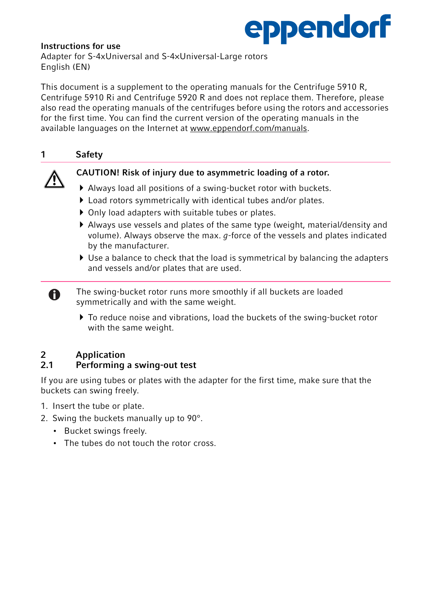# eppendorf

## Instructions for use

Adapter for S-4xUniversal and S-4×Universal-Large rotors English (EN)

This document is a supplement to the operating manuals for the Centrifuge 5910 R, Centrifuge 5910 Ri and Centrifuge 5920 R and does not replace them. Therefore, please also read the operating manuals of the centrifuges before using the rotors and accessories for the first time. You can find the current version of the operating manuals in the available languages on the Internet at www.eppendorf.com/manuals.

# 1 Safety

# CAUTION! Risk of injury due to asymmetric loading of a rotor.

- Always load all positions of a swing-bucket rotor with buckets.
- Load rotors symmetrically with identical tubes and/or plates.
- Only load adapters with suitable tubes or plates.
- Always use vessels and plates of the same type (weight, material/density and volume). Always observe the max.  $q$ -force of the vessels and plates indicated by the manufacturer.
- $\blacktriangleright$  Use a balance to check that the load is symmetrical by balancing the adapters and vessels and/or plates that are used.
- The swing-bucket rotor runs more smoothly if all buckets are loaded symmetrically and with the same weight.
	- ▶ To reduce noise and vibrations, load the buckets of the swing-bucket rotor with the same weight.

# 2 Application<br>2.1 Performing

 $\bullet$ 

# Performing a swing-out test

If you are using tubes or plates with the adapter for the first time, make sure that the buckets can swing freely.

- 1. Insert the tube or plate.
- 2. Swing the buckets manually up to 90°.
	- Bucket swings freely.
	- The tubes do not touch the rotor cross.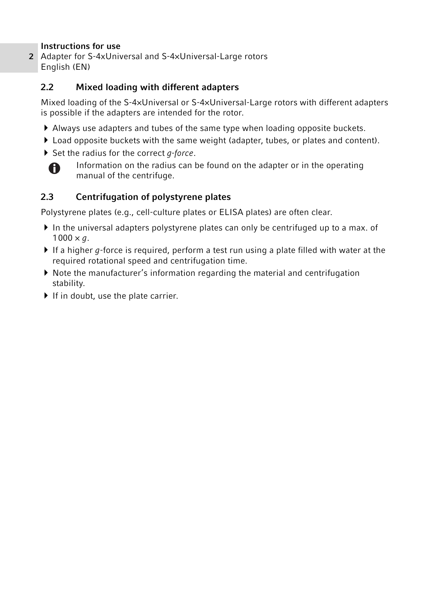2 Adapter for S-4xUniversal and S-4×Universal-Large rotors English (EN)

# 2.2 Mixed loading with different adapters

Mixed loading of the S-4×Universal or S-4×Universal-Large rotors with different adapters is possible if the adapters are intended for the rotor.

- Always use adapters and tubes of the same type when loading opposite buckets.
- Load opposite buckets with the same weight (adapter, tubes, or plates and content).
- $\triangleright$  Set the radius for the correct *q-force*.



Information on the radius can be found on the adapter or in the operating manual of the centrifuge.

# 2.3 Centrifugation of polystyrene plates

Polystyrene plates (e.g., cell-culture plates or ELISA plates) are often clear.

- $\blacktriangleright$  In the universal adapters polystyrene plates can only be centrifuged up to a max. of  $1000 \times q$ .
- If a higher g-force is required, perform a test run using a plate filled with water at the required rotational speed and centrifugation time.
- Note the manufacturer's information regarding the material and centrifugation stability.
- $\blacktriangleright$  If in doubt, use the plate carrier.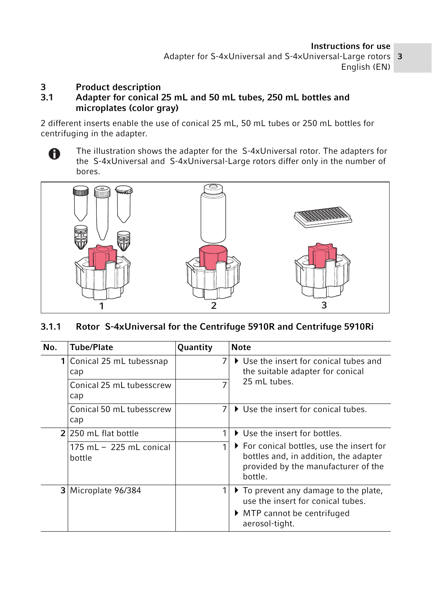Adapter for S-4xUniversal and S-4×Universal-Large rotors 3 English (EN)

# 3 Product description<br>3.1 Adapter for conical 2

# Adapter for conical 25 mL and 50 mL tubes, 250 mL bottles and microplates (color gray)

2 different inserts enable the use of conical 25 mL, 50 mL tubes or 250 mL bottles for centrifuging in the adapter.

The illustration shows the adapter for the S-4xUniversal rotor. The adapters for  $\mathbf \Omega$ the S-4xUniversal and S-4xUniversal-Large rotors differ only in the number of bores.



# 3.1.1 Rotor S-4xUniversal for the Centrifuge 5910R and Centrifuge 5910Ri

| No. | <b>Tube/Plate</b>                    | Quantity | <b>Note</b>                                                                                                                                               |
|-----|--------------------------------------|----------|-----------------------------------------------------------------------------------------------------------------------------------------------------------|
|     | Conical 25 mL tubessnap<br>cap       | 7        | $\blacktriangleright$ Use the insert for conical tubes and<br>the suitable adapter for conical                                                            |
|     | Conical 25 mL tubesscrew<br>cap      |          | 25 mL tubes.                                                                                                                                              |
|     | Conical 50 mL tubesscrew<br>cap      | 7        | ▶ Use the insert for conical tubes.                                                                                                                       |
|     | 2/250 mL flat bottle                 | 1        | $\blacktriangleright$ Use the insert for bottles.                                                                                                         |
|     | $175$ ml $-225$ ml conical<br>bottle | 1        | ▶ For conical bottles, use the insert for<br>bottles and, in addition, the adapter<br>provided by the manufacturer of the<br>bottle.                      |
| 31  | Microplate 96/384                    | 1        | $\triangleright$ To prevent any damage to the plate,<br>use the insert for conical tubes.<br>$\triangleright$ MTP cannot be centrifuged<br>aerosol-tight. |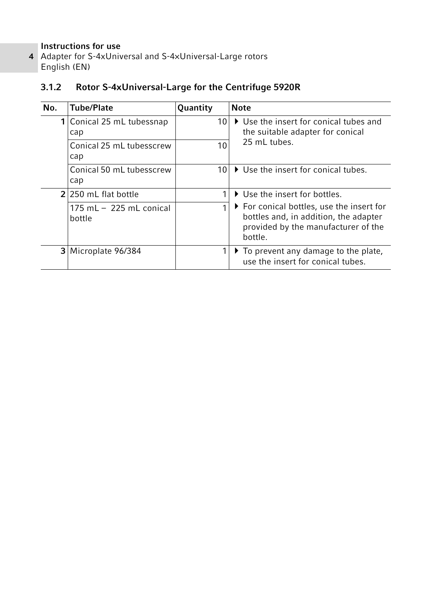4 Adapter for S-4xUniversal and S-4×Universal-Large rotors English (EN)

# 3.1.2 Rotor S-4xUniversal-Large for the Centrifuge 5920R

| No. | <b>Tube/Plate</b>                    | <b>Quantity</b> | <b>Note</b>                                                                                                                          |
|-----|--------------------------------------|-----------------|--------------------------------------------------------------------------------------------------------------------------------------|
|     | 1 Conical 25 mL tubessnap<br>cap     | 10              | ▶ Use the insert for conical tubes and<br>the suitable adapter for conical                                                           |
|     | Conical 25 mL tubesscrew<br>cap      | 10              | 25 ml tubes.                                                                                                                         |
|     | Conical 50 mL tubesscrew<br>cap      | 10              | ▶ Use the insert for conical tubes.                                                                                                  |
|     | 2 2 250 mL flat bottle               |                 | ▶ Use the insert for bottles.                                                                                                        |
|     | $175$ ml $-225$ ml conical<br>bottle |                 | ▶ For conical bottles, use the insert for<br>bottles and, in addition, the adapter<br>provided by the manufacturer of the<br>bottle. |
|     | 3 Microplate 96/384                  |                 | $\triangleright$ To prevent any damage to the plate,<br>use the insert for conical tubes.                                            |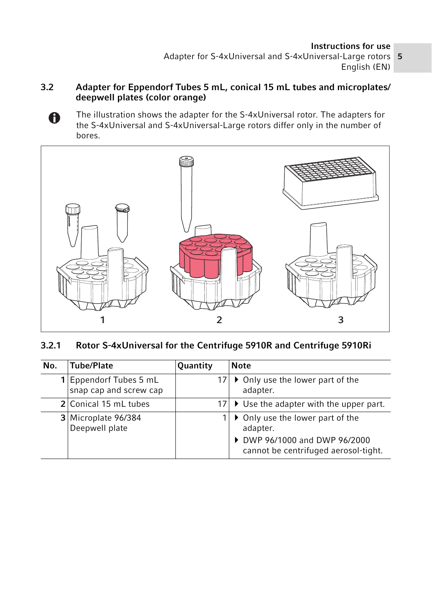Adapter for S-4xUniversal and S-4×Universal-Large rotors 5 English (EN)

# 3.2 Adapter for Eppendorf Tubes 5 mL, conical 15 mL tubes and microplates/ deepwell plates (color orange)

The illustration shows the adapter for the S-4xUniversal rotor. The adapters for  $\bullet$ the S-4xUniversal and S-4xUniversal-Large rotors differ only in the number of bores.



3.2.1 Rotor S-4xUniversal for the Centrifuge 5910R and Centrifuge 5910Ri

| No. | Tube/Plate                                     | Quantity | <b>Note</b>                                                                                                           |
|-----|------------------------------------------------|----------|-----------------------------------------------------------------------------------------------------------------------|
|     | Eppendorf Tubes 5 mL<br>snap cap and screw cap |          | • Only use the lower part of the<br>adapter.                                                                          |
|     | 2 Conical 15 mL tubes                          |          | 17 $\triangleright$ Use the adapter with the upper part.                                                              |
|     | 3 Microplate 96/384<br>Deepwell plate          |          | • Only use the lower part of the<br>adapter.<br>▶ DWP 96/1000 and DWP 96/2000<br>cannot be centrifuged aerosol-tight. |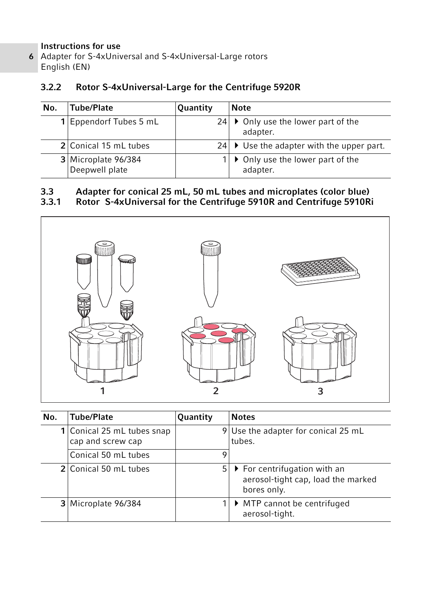6 Adapter for S-4xUniversal and S-4×Universal-Large rotors English (EN)

# 3.2.2 Rotor S-4xUniversal-Large for the Centrifuge 5920R

| No. | Tube/Plate                            | Quantity | <b>Note</b>                                                    |
|-----|---------------------------------------|----------|----------------------------------------------------------------|
|     | 1 Eppendorf Tubes 5 mL                |          | 24 $\triangleright$ Only use the lower part of the<br>adapter. |
|     | 2 Conical 15 mL tubes                 |          | 24 $\triangleright$ Use the adapter with the upper part.       |
|     | 3 Microplate 96/384<br>Deepwell plate |          | • Only use the lower part of the<br>adapter.                   |

# 3.3 Adapter for conical 25 mL, 50 mL tubes and microplates (color blue)<br>3.3.1 Rotor S-4xUniversal for the Centrifuge 5910R and Centrifuge 5910Ri

3.3.1 Rotor S-4xUniversal for the Centrifuge 5910R and Centrifuge 5910Ri



| No. | <b>Tube/Plate</b>                               | Quantity | <b>Notes</b>                                                                                     |
|-----|-------------------------------------------------|----------|--------------------------------------------------------------------------------------------------|
|     | 1 Conical 25 mL tubes snap<br>cap and screw cap |          | 9 Use the adapter for conical 25 mL<br>tubes.                                                    |
|     | Conical 50 mL tubes                             | 9        |                                                                                                  |
|     | 2 Conical 50 mL tubes                           | 5.       | $\triangleright$ For centrifugation with an<br>aerosol-tight cap, load the marked<br>bores only. |
|     | 3 Microplate 96/384                             |          | $\triangleright$ MTP cannot be centrifuged<br>aerosol-tight.                                     |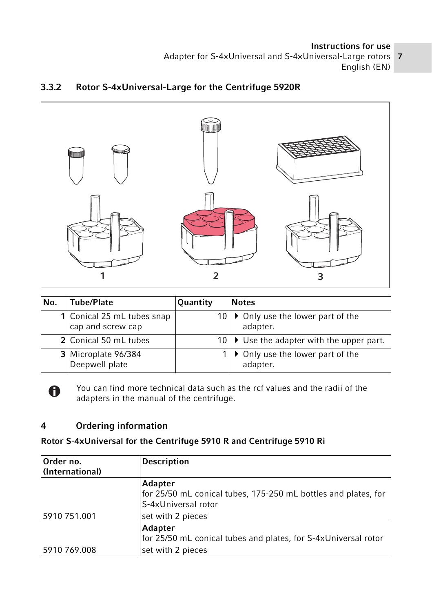Adapter for S-4xUniversal and S-4×Universal-Large rotors 27 English (EN)



# 3.3.2 Rotor S-4xUniversal-Large for the Centrifuge 5920R

| No. | Tube/Plate                                      | <b>Quantity</b> | <b>Notes</b>                                                   |
|-----|-------------------------------------------------|-----------------|----------------------------------------------------------------|
|     | 1 Conical 25 mL tubes snap<br>cap and screw cap |                 | 10 $\triangleright$ Only use the lower part of the<br>adapter. |
|     | 2 Conical 50 mL tubes                           |                 | $10$ $\triangleright$ Use the adapter with the upper part.     |
|     | 3 Microplate 96/384<br>Deepwell plate           |                 | • Only use the lower part of the<br>adapter.                   |



You can find more technical data such as the rcf values and the radii of the adapters in the manual of the centrifuge.

# 4 Ordering information

# Rotor S-4xUniversal for the Centrifuge 5910 R and Centrifuge 5910 Ri

| Order no.       | <b>Description</b>                                                                               |
|-----------------|--------------------------------------------------------------------------------------------------|
| (International) |                                                                                                  |
|                 | Adapter<br>for 25/50 mL conical tubes, 175-250 mL bottles and plates, for<br>S-4xUniversal rotor |
| 5910 751.001    | set with 2 pieces                                                                                |
|                 | Adapter<br>for 25/50 mL conical tubes and plates, for S-4xUniversal rotor                        |
| 5910 769.008    | set with 2 pieces                                                                                |